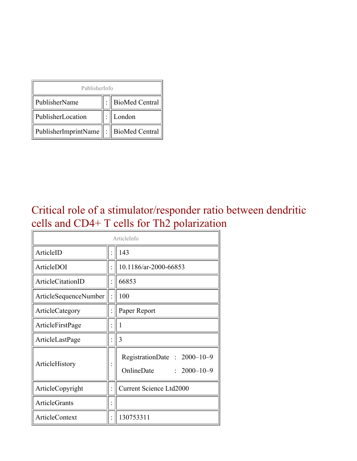| PublisherInfo                                   |  |                    |  |  |
|-------------------------------------------------|--|--------------------|--|--|
| PublisherName                                   |  | :   BioMed Central |  |  |
| PublisherLocation                               |  | London             |  |  |
| PublisherImprintName $\ \cdot\ $ BioMed Central |  |                    |  |  |

### Critical role of a stimulator/responder ratio between dendritic cells and CD4+ T cells for Th2 polarization

| ArticleInfo                  |  |                                                                |  |
|------------------------------|--|----------------------------------------------------------------|--|
| ArticleID                    |  | 143                                                            |  |
| ArticleDOI                   |  | 10.1186/ar-2000-66853                                          |  |
| <b>ArticleCitationID</b>     |  | 66853                                                          |  |
| <b>ArticleSequenceNumber</b> |  | 100                                                            |  |
| ArticleCategory              |  | Paper Report                                                   |  |
| ArticleFirstPage             |  | 1                                                              |  |
| ArticleLastPage              |  | 3                                                              |  |
| ArticleHistory               |  | RegistrationDate: 2000-10-9<br>OnlineDate<br>$: 2000 - 10 - 9$ |  |
| ArticleCopyright             |  | <b>Current Science Ltd2000</b>                                 |  |
| <b>ArticleGrants</b>         |  |                                                                |  |
| ArticleContext               |  | 130753311                                                      |  |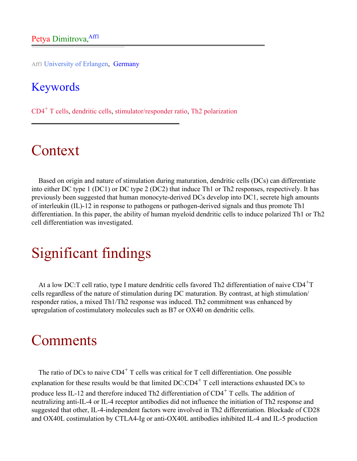Aff1 University of Erlangen, Germany

#### Keywords

 $CD4<sup>+</sup>$  T cells, dendritic cells, stimulator/responder ratio, Th<sub>2</sub> polarization

# Context

Based on origin and nature of stimulation during maturation, dendritic cells (DCs) can differentiate into either DC type 1 (DC1) or DC type 2 (DC2) that induce Th1 or Th2 responses, respectively. It has previously been suggested that human monocyte-derived DCs develop into DC1, secrete high amounts of interleukin (IL)-12 in response to pathogens or pathogen-derived signals and thus promote Th1 differentiation. In this paper, the ability of human myeloid dendritic cells to induce polarized Th1 or Th2 cell differentiation was investigated.

# Significant findings

At a low DC:T cell ratio, type I mature dendritic cells favored Th2 differentiation of naive  $CD4^+T$ cells regardless of the nature of stimulation during DC maturation. By contrast, at high stimulation/ responder ratios, a mixed Th1/Th2 response was induced. Th2 commitment was enhanced by upregulation of costimulatory molecules such as B7 or OX40 on dendritic cells.

### **Comments**

The ratio of DCs to naive  $CD4^+$  T cells was critical for T cell differentiation. One possible explanation for these results would be that limited DC:CD4<sup>+</sup> T cell interactions exhausted DCs to produce less IL-12 and therefore induced Th2 differentiation of  $CD4^+$  T cells. The addition of neutralizing anti-IL-4 or IL-4 receptor antibodies did not influence the initiation of Th2 response and suggested that other, IL-4-independent factors were involved in Th2 differentiation. Blockade of CD28 and OX40L costimulation by CTLA4-Ig or anti-OX40L antibodies inhibited IL-4 and IL-5 production